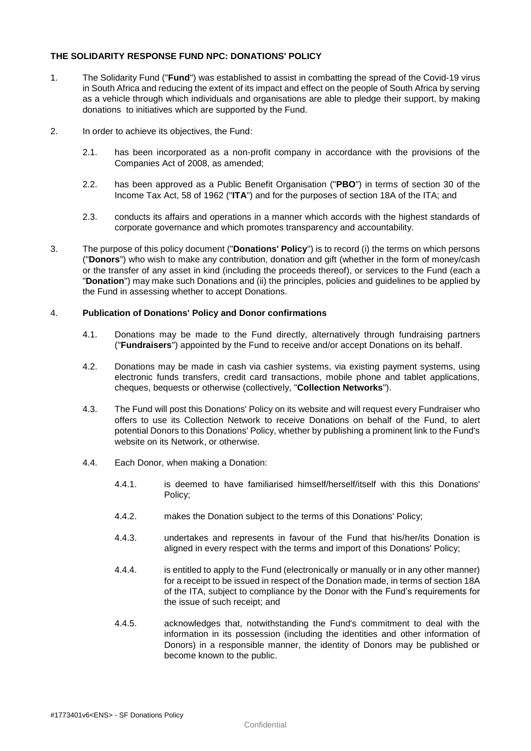# **THE SOLIDARITY RESPONSE FUND NPC: DONATIONS' POLICY**

- 1. The Solidarity Fund ("**Fund**") was established to assist in combatting the spread of the Covid-19 virus in South Africa and reducing the extent of its impact and effect on the people of South Africa by serving as a vehicle through which individuals and organisations are able to pledge their support, by making donations to initiatives which are supported by the Fund.
- 2. In order to achieve its objectives, the Fund:
	- 2.1. has been incorporated as a non-profit company in accordance with the provisions of the Companies Act of 2008, as amended;
	- 2.2. has been approved as a Public Benefit Organisation ("**PBO**") in terms of section 30 of the Income Tax Act, 58 of 1962 ("**ITA**") and for the purposes of section 18A of the ITA; and
	- 2.3. conducts its affairs and operations in a manner which accords with the highest standards of corporate governance and which promotes transparency and accountability.
- 3. The purpose of this policy document ("**Donations' Policy**") is to record (i) the terms on which persons ("**Donors**") who wish to make any contribution, donation and gift (whether in the form of money/cash or the transfer of any asset in kind (including the proceeds thereof), or services to the Fund (each a "**Donation**") may make such Donations and (ii) the principles, policies and guidelines to be applied by the Fund in assessing whether to accept Donations.

## 4. **Publication of Donations' Policy and Donor confirmations**

- 4.1. Donations may be made to the Fund directly, alternatively through fundraising partners ("**Fundraisers**") appointed by the Fund to receive and/or accept Donations on its behalf.
- 4.2. Donations may be made in cash via cashier systems, via existing payment systems, using electronic funds transfers, credit card transactions, mobile phone and tablet applications, cheques, bequests or otherwise (collectively, "**Collection Networks**").
- 4.3. The Fund will post this Donations' Policy on its website and will request every Fundraiser who offers to use its Collection Network to receive Donations on behalf of the Fund, to alert potential Donors to this Donations' Policy, whether by publishing a prominent link to the Fund's website on its Network, or otherwise.
- 4.4. Each Donor, when making a Donation:
	- 4.4.1. is deemed to have familiarised himself/herself/itself with this this Donations' Policy;
	- 4.4.2. makes the Donation subject to the terms of this Donations' Policy;
	- 4.4.3. undertakes and represents in favour of the Fund that his/her/its Donation is aligned in every respect with the terms and import of this Donations' Policy;
	- 4.4.4. is entitled to apply to the Fund (electronically or manually or in any other manner) for a receipt to be issued in respect of the Donation made, in terms of section 18A of the ITA, subject to compliance by the Donor with the Fund's requirements for the issue of such receipt; and
	- 4.4.5. acknowledges that, notwithstanding the Fund's commitment to deal with the information in its possession (including the identities and other information of Donors) in a responsible manner, the identity of Donors may be published or become known to the public.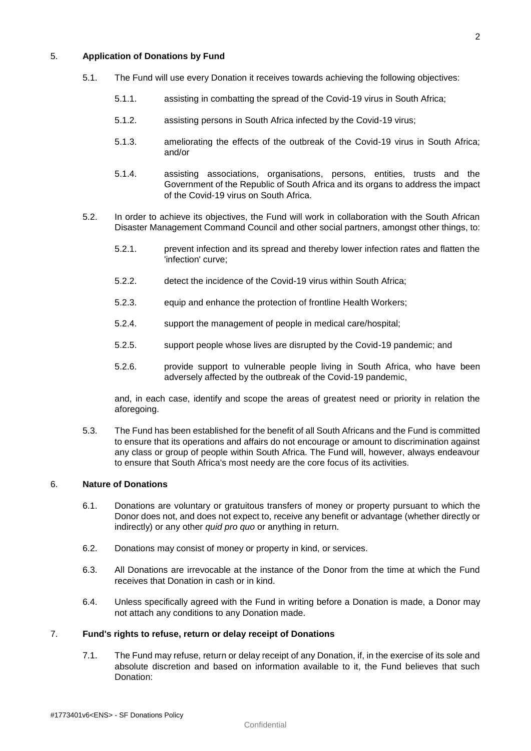# 5. **Application of Donations by Fund**

- 5.1. The Fund will use every Donation it receives towards achieving the following objectives:
	- 5.1.1. assisting in combatting the spread of the Covid-19 virus in South Africa;
	- 5.1.2. assisting persons in South Africa infected by the Covid-19 virus;
	- 5.1.3. ameliorating the effects of the outbreak of the Covid-19 virus in South Africa; and/or
	- 5.1.4. assisting associations, organisations, persons, entities, trusts and the Government of the Republic of South Africa and its organs to address the impact of the Covid-19 virus on South Africa.
- 5.2. In order to achieve its objectives, the Fund will work in collaboration with the South African Disaster Management Command Council and other social partners, amongst other things, to:
	- 5.2.1. prevent infection and its spread and thereby lower infection rates and flatten the 'infection' curve;
	- 5.2.2. detect the incidence of the Covid-19 virus within South Africa;
	- 5.2.3. equip and enhance the protection of frontline Health Workers;
	- 5.2.4. support the management of people in medical care/hospital;
	- 5.2.5. support people whose lives are disrupted by the Covid-19 pandemic; and
	- 5.2.6. provide support to vulnerable people living in South Africa, who have been adversely affected by the outbreak of the Covid-19 pandemic,

and, in each case, identify and scope the areas of greatest need or priority in relation the aforegoing.

5.3. The Fund has been established for the benefit of all South Africans and the Fund is committed to ensure that its operations and affairs do not encourage or amount to discrimination against any class or group of people within South Africa. The Fund will, however, always endeavour to ensure that South Africa's most needy are the core focus of its activities.

# 6. **Nature of Donations**

- 6.1. Donations are voluntary or gratuitous transfers of money or property pursuant to which the Donor does not, and does not expect to, receive any benefit or advantage (whether directly or indirectly) or any other *quid pro quo* or anything in return.
- 6.2. Donations may consist of money or property in kind, or services.
- 6.3. All Donations are irrevocable at the instance of the Donor from the time at which the Fund receives that Donation in cash or in kind.
- 6.4. Unless specifically agreed with the Fund in writing before a Donation is made, a Donor may not attach any conditions to any Donation made.

#### 7. **Fund's rights to refuse, return or delay receipt of Donations**

7.1. The Fund may refuse, return or delay receipt of any Donation, if, in the exercise of its sole and absolute discretion and based on information available to it, the Fund believes that such Donation: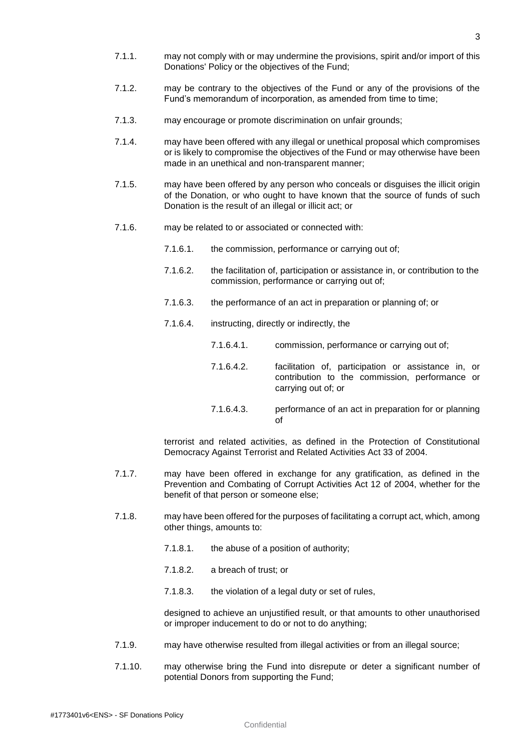- 7.1.1. may not comply with or may undermine the provisions, spirit and/or import of this Donations' Policy or the objectives of the Fund;
- 7.1.2. may be contrary to the objectives of the Fund or any of the provisions of the Fund's memorandum of incorporation, as amended from time to time;
- 7.1.3. may encourage or promote discrimination on unfair grounds;
- 7.1.4. may have been offered with any illegal or unethical proposal which compromises or is likely to compromise the objectives of the Fund or may otherwise have been made in an unethical and non-transparent manner;
- 7.1.5. may have been offered by any person who conceals or disguises the illicit origin of the Donation, or who ought to have known that the source of funds of such Donation is the result of an illegal or illicit act; or
- 7.1.6. may be related to or associated or connected with:
	- 7.1.6.1. the commission, performance or carrying out of;
	- 7.1.6.2. the facilitation of, participation or assistance in, or contribution to the commission, performance or carrying out of;
	- 7.1.6.3. the performance of an act in preparation or planning of; or
	- 7.1.6.4. instructing, directly or indirectly, the
		- 7.1.6.4.1. commission, performance or carrying out of;
		- 7.1.6.4.2. facilitation of, participation or assistance in, or contribution to the commission, performance or carrying out of; or
		- 7.1.6.4.3. performance of an act in preparation for or planning of

terrorist and related activities, as defined in the Protection of Constitutional Democracy Against Terrorist and Related Activities Act 33 of 2004.

- 7.1.7. may have been offered in exchange for any gratification, as defined in the Prevention and Combating of Corrupt Activities Act 12 of 2004, whether for the benefit of that person or someone else;
- 7.1.8. may have been offered for the purposes of facilitating a corrupt act, which, among other things, amounts to:
	- 7.1.8.1. the abuse of a position of authority;
	- 7.1.8.2. a breach of trust; or
	- 7.1.8.3. the violation of a legal duty or set of rules,

designed to achieve an unjustified result, or that amounts to other unauthorised or improper inducement to do or not to do anything;

- 7.1.9. may have otherwise resulted from illegal activities or from an illegal source;
- 7.1.10. may otherwise bring the Fund into disrepute or deter a significant number of potential Donors from supporting the Fund;